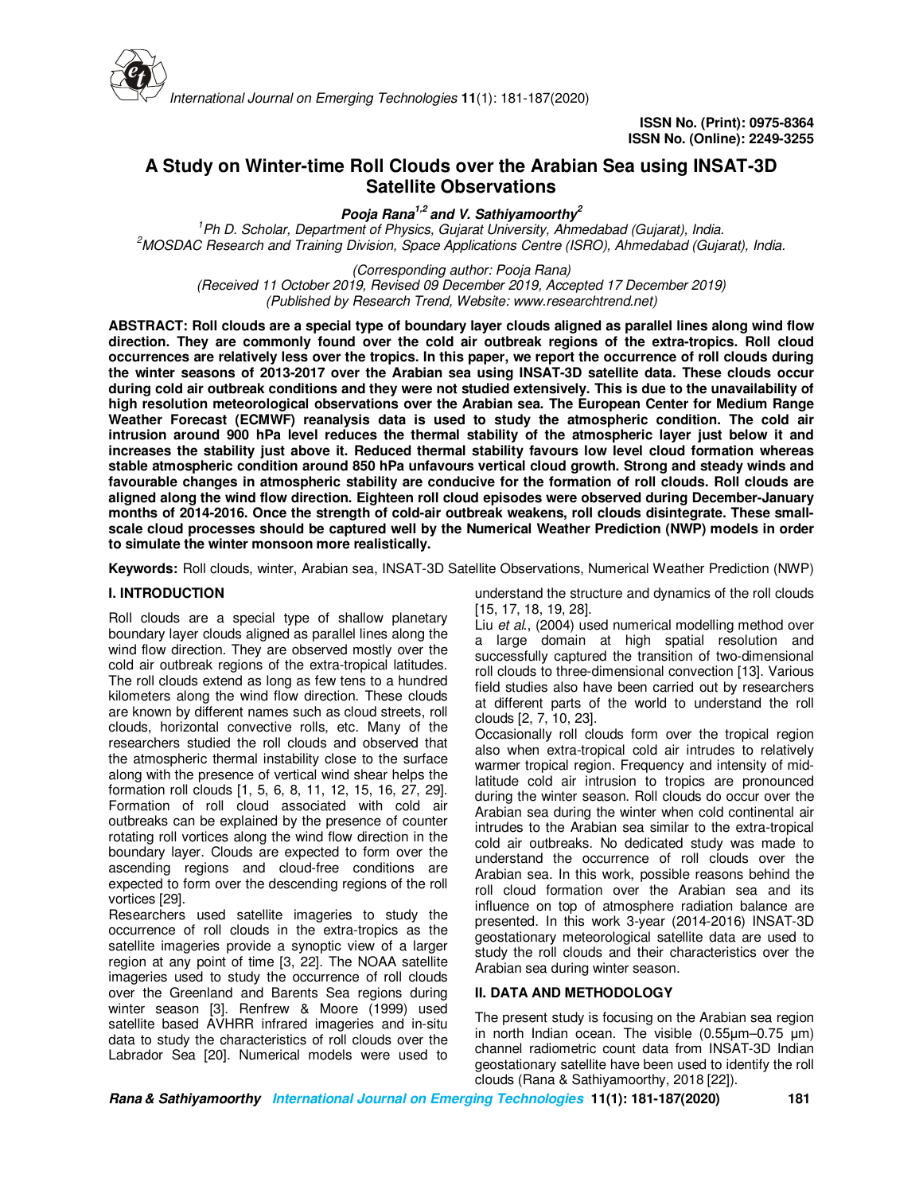

# **A Study on Winter-time Roll Clouds over the Arabian Sea using INSAT-3D Satellite Observations**

**Pooja Rana1,2 and V. Sathiyamoorthy<sup>2</sup>**

*<sup>1</sup>Ph D. Scholar, Department of Physics, Gujarat University, Ahmedabad (Gujarat), India. <sup>2</sup>MOSDAC Research and Training Division, Space Applications Centre (ISRO), Ahmedabad (Gujarat), India.* 

*(Corresponding author: Pooja Rana)* 

*(Received 11 October 2019, Revised 09 December 2019, Accepted 17 December 2019) (Published by Research Trend, Website: www.researchtrend.net)*

**ABSTRACT: Roll clouds are a special type of boundary layer clouds aligned as parallel lines along wind flow direction. They are commonly found over the cold air outbreak regions of the extra-tropics. Roll cloud occurrences are relatively less over the tropics. In this paper, we report the occurrence of roll clouds during the winter seasons of 2013-2017 over the Arabian sea using INSAT-3D satellite data. These clouds occur during cold air outbreak conditions and they were not studied extensively. This is due to the unavailability of high resolution meteorological observations over the Arabian sea. The European Center for Medium Range Weather Forecast (ECMWF) reanalysis data is used to study the atmospheric condition. The cold air intrusion around 900 hPa level reduces the thermal stability of the atmospheric layer just below it and increases the stability just above it. Reduced thermal stability favours low level cloud formation whereas stable atmospheric condition around 850 hPa unfavours vertical cloud growth. Strong and steady winds and favourable changes in atmospheric stability are conducive for the formation of roll clouds. Roll clouds are aligned along the wind flow direction. Eighteen roll cloud episodes were observed during December-January months of 2014-2016. Once the strength of cold-air outbreak weakens, roll clouds disintegrate. These smallscale cloud processes should be captured well by the Numerical Weather Prediction (NWP) models in order to simulate the winter monsoon more realistically.** 

**Keywords:** Roll clouds, winter, Arabian sea, INSAT-3D Satellite Observations, Numerical Weather Prediction (NWP)

## **I. INTRODUCTION**

Roll clouds are a special type of shallow planetary boundary layer clouds aligned as parallel lines along the wind flow direction. They are observed mostly over the cold air outbreak regions of the extra-tropical latitudes. The roll clouds extend as long as few tens to a hundred kilometers along the wind flow direction. These clouds are known by different names such as cloud streets, roll clouds, horizontal convective rolls, etc. Many of the researchers studied the roll clouds and observed that the atmospheric thermal instability close to the surface along with the presence of vertical wind shear helps the formation roll clouds [1, 5, 6, 8, 11, 12, 15, 16, 27, 29]. Formation of roll cloud associated with cold air outbreaks can be explained by the presence of counter rotating roll vortices along the wind flow direction in the boundary layer. Clouds are expected to form over the ascending regions and cloud-free conditions are expected to form over the descending regions of the roll vortices [29].

Researchers used satellite imageries to study the occurrence of roll clouds in the extra-tropics as the satellite imageries provide a synoptic view of a larger region at any point of time [3, 22]. The NOAA satellite imageries used to study the occurrence of roll clouds over the Greenland and Barents Sea regions during winter season [3]. Renfrew & Moore (1999) used satellite based AVHRR infrared imageries and in-situ data to study the characteristics of roll clouds over the Labrador Sea [20]. Numerical models were used to

understand the structure and dynamics of the roll clouds [15, 17, 18, 19, 28].

Liu *et al*., (2004) used numerical modelling method over a large domain at high spatial resolution and successfully captured the transition of two-dimensional roll clouds to three-dimensional convection [13]. Various field studies also have been carried out by researchers at different parts of the world to understand the roll clouds [2, 7, 10, 23].

Occasionally roll clouds form over the tropical region also when extra-tropical cold air intrudes to relatively warmer tropical region. Frequency and intensity of midlatitude cold air intrusion to tropics are pronounced during the winter season. Roll clouds do occur over the Arabian sea during the winter when cold continental air intrudes to the Arabian sea similar to the extra-tropical cold air outbreaks. No dedicated study was made to understand the occurrence of roll clouds over the Arabian sea. In this work, possible reasons behind the roll cloud formation over the Arabian sea and its influence on top of atmosphere radiation balance are presented. In this work 3-year (2014-2016) INSAT-3D geostationary meteorological satellite data are used to study the roll clouds and their characteristics over the Arabian sea during winter season.

## **II. DATA AND METHODOLOGY**

The present study is focusing on the Arabian sea region in north Indian ocean. The visible (0.55µm–0.75 µm) channel radiometric count data from INSAT-3D Indian geostationary satellite have been used to identify the roll clouds (Rana & Sathiyamoorthy, 2018 [22]).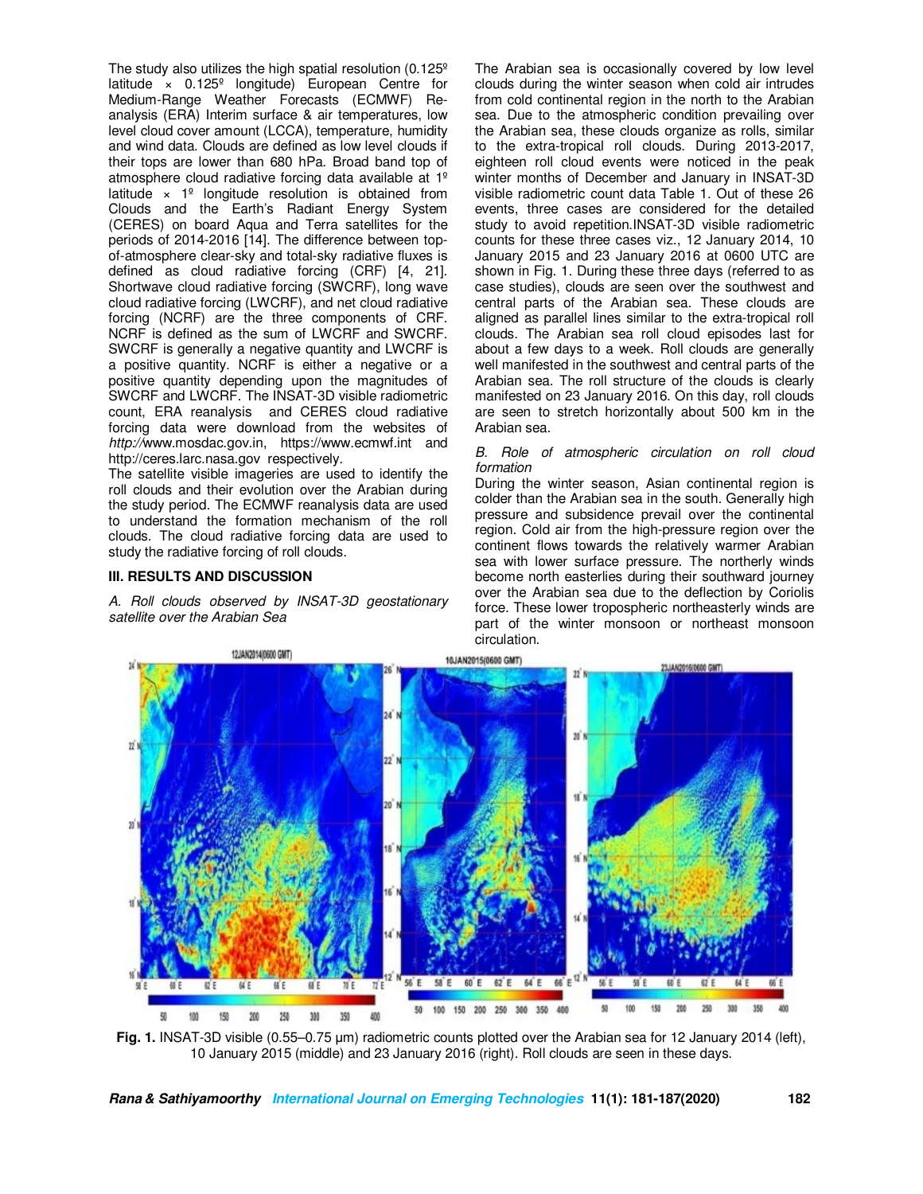The study also utilizes the high spatial resolution (0.125º latitude × 0.125º longitude) European Centre for Medium-Range Weather Forecasts (ECMWF) Reanalysis (ERA) Interim surface & air temperatures, low level cloud cover amount (LCCA), temperature, humidity and wind data. Clouds are defined as low level clouds if their tops are lower than 680 hPa. Broad band top of atmosphere cloud radiative forcing data available at 1º latitude  $\times$  1<sup>º</sup> longitude resolution is obtained from Clouds and the Earth's Radiant Energy System (CERES) on board Aqua and Terra satellites for the periods of 2014-2016 [14]. The difference between topof-atmosphere clear-sky and total-sky radiative fluxes is defined as cloud radiative forcing (CRF) [4, 21]. Shortwave cloud radiative forcing (SWCRF), long wave cloud radiative forcing (LWCRF), and net cloud radiative forcing (NCRF) are the three components of CRF. NCRF is defined as the sum of LWCRF and SWCRF. SWCRF is generally a negative quantity and LWCRF is a positive quantity. NCRF is either a negative or a positive quantity depending upon the magnitudes of SWCRF and LWCRF. The INSAT-3D visible radiometric count, ERA reanalysis and CERES cloud radiative forcing data were download from the websites of *http://*www.mosdac.gov.in, https://www.ecmwf.int and http://ceres.larc.nasa.gov respectively.

The satellite visible imageries are used to identify the roll clouds and their evolution over the Arabian during the study period. The ECMWF reanalysis data are used to understand the formation mechanism of the roll clouds. The cloud radiative forcing data are used to study the radiative forcing of roll clouds.

#### **III. RESULTS AND DISCUSSION**

*A. Roll clouds observed by INSAT-3D geostationary satellite over the Arabian Sea* 

The Arabian sea is occasionally covered by low level clouds during the winter season when cold air intrudes from cold continental region in the north to the Arabian sea. Due to the atmospheric condition prevailing over the Arabian sea, these clouds organize as rolls, similar to the extra-tropical roll clouds. During 2013-2017, eighteen roll cloud events were noticed in the peak winter months of December and January in INSAT-3D visible radiometric count data Table 1. Out of these 26 events, three cases are considered for the detailed study to avoid repetition.INSAT-3D visible radiometric counts for these three cases viz., 12 January 2014, 10 January 2015 and 23 January 2016 at 0600 UTC are shown in Fig. 1. During these three days (referred to as case studies), clouds are seen over the southwest and central parts of the Arabian sea. These clouds are aligned as parallel lines similar to the extra-tropical roll clouds. The Arabian sea roll cloud episodes last for about a few days to a week. Roll clouds are generally well manifested in the southwest and central parts of the Arabian sea. The roll structure of the clouds is clearly manifested on 23 January 2016. On this day, roll clouds are seen to stretch horizontally about 500 km in the Arabian sea.

#### *B. Role of atmospheric circulation on roll cloud formation*

During the winter season, Asian continental region is colder than the Arabian sea in the south. Generally high pressure and subsidence prevail over the continental region. Cold air from the high-pressure region over the continent flows towards the relatively warmer Arabian sea with lower surface pressure. The northerly winds become north easterlies during their southward journey over the Arabian sea due to the deflection by Coriolis force. These lower tropospheric northeasterly winds are part of the winter monsoon or northeast monsoon circulation.



**Fig. 1.** INSAT-3D visible (0.55–0.75 µm) radiometric counts plotted over the Arabian sea for 12 January 2014 (left), 10 January 2015 (middle) and 23 January 2016 (right). Roll clouds are seen in these days.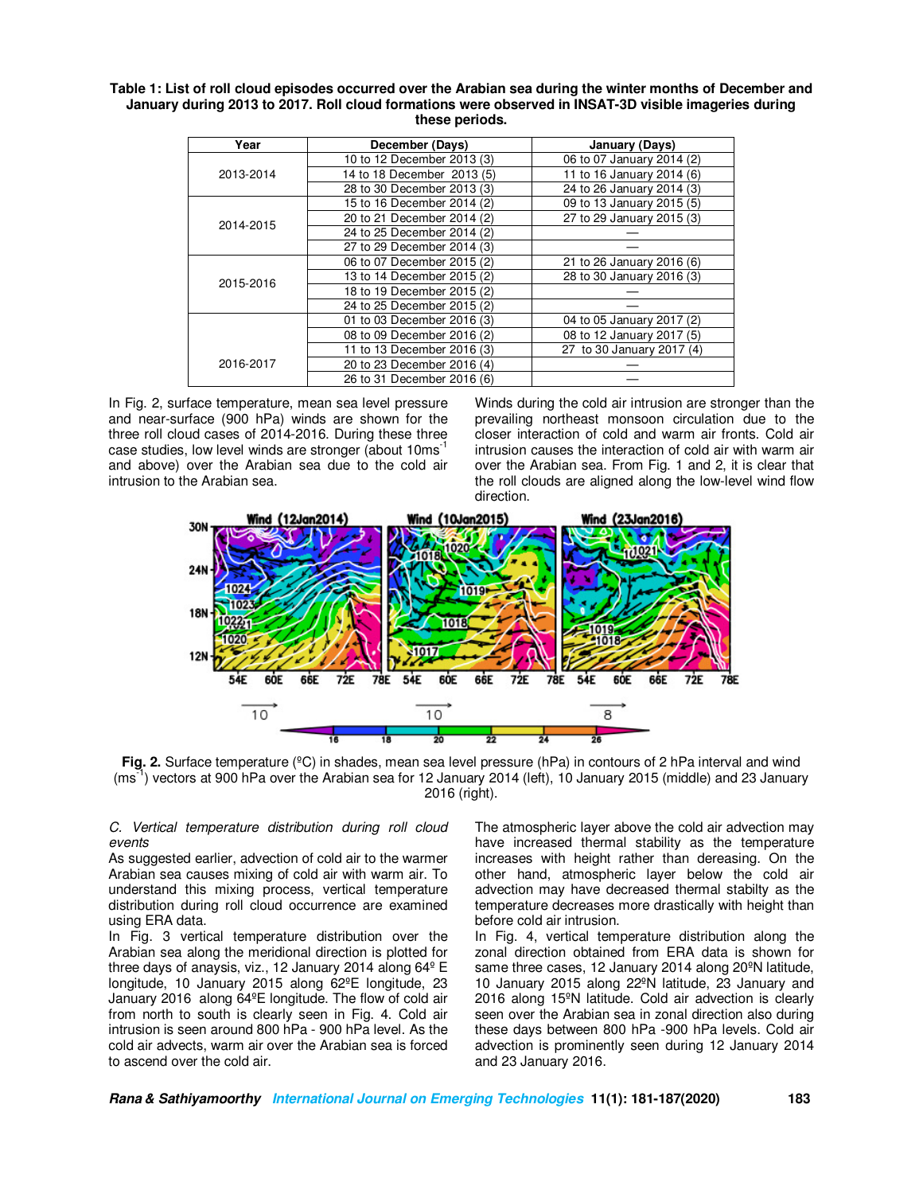| Table 1: List of roll cloud episodes occurred over the Arabian sea during the winter months of December and |
|-------------------------------------------------------------------------------------------------------------|
| January during 2013 to 2017. Roll cloud formations were observed in INSAT-3D visible imageries during       |
| these periods.                                                                                              |

| Year      | December (Days)            | January (Days)            |
|-----------|----------------------------|---------------------------|
|           | 10 to 12 December 2013 (3) | 06 to 07 January 2014 (2) |
| 2013-2014 | 14 to 18 December 2013 (5) | 11 to 16 January 2014 (6) |
|           | 28 to 30 December 2013 (3) | 24 to 26 January 2014 (3) |
|           | 15 to 16 December 2014 (2) | 09 to 13 January 2015 (5) |
| 2014-2015 | 20 to 21 December 2014 (2) | 27 to 29 January 2015 (3) |
|           | 24 to 25 December 2014 (2) |                           |
|           | 27 to 29 December 2014 (3) |                           |
| 2015-2016 | 06 to 07 December 2015 (2) | 21 to 26 January 2016 (6) |
|           | 13 to 14 December 2015 (2) | 28 to 30 January 2016 (3) |
|           | 18 to 19 December 2015 (2) |                           |
|           | 24 to 25 December 2015 (2) |                           |
|           | 01 to 03 December 2016 (3) | 04 to 05 January 2017 (2) |
|           | 08 to 09 December 2016 (2) | 08 to 12 January 2017 (5) |
| 2016-2017 | 11 to 13 December 2016 (3) | 27 to 30 January 2017 (4) |
|           | 20 to 23 December 2016 (4) |                           |
|           | 26 to 31 December 2016 (6) |                           |

In Fig. 2, surface temperature, mean sea level pressure and near-surface (900 hPa) winds are shown for the three roll cloud cases of 2014-2016. During these three case studies, low level winds are stronger (about 10ms-1 and above) over the Arabian sea due to the cold air intrusion to the Arabian sea.

Winds during the cold air intrusion are stronger than the prevailing northeast monsoon circulation due to the closer interaction of cold and warm air fronts. Cold air intrusion causes the interaction of cold air with warm air over the Arabian sea. From Fig. 1 and 2, it is clear that the roll clouds are aligned along the low-level wind flow direction.



**Fig. 2.** Surface temperature (°C) in shades, mean sea level pressure (hPa) in contours of 2 hPa interval and wind (ms-1) vectors at 900 hPa over the Arabian sea for 12 January 2014 (left), 10 January 2015 (middle) and 23 January 2016 (right).

*C. Vertical temperature distribution during roll cloud events* 

As suggested earlier, advection of cold air to the warmer Arabian sea causes mixing of cold air with warm air. To understand this mixing process, vertical temperature distribution during roll cloud occurrence are examined using ERA data.

In Fig. 3 vertical temperature distribution over the Arabian sea along the meridional direction is plotted for three days of anaysis, viz., 12 January 2014 along 64º E longitude, 10 January 2015 along 62ºE longitude, 23 January 2016 along 64ºE longitude. The flow of cold air from north to south is clearly seen in Fig. 4. Cold air intrusion is seen around 800 hPa - 900 hPa level. As the cold air advects, warm air over the Arabian sea is forced to ascend over the cold air.

The atmospheric layer above the cold air advection may have increased thermal stability as the temperature increases with height rather than dereasing. On the other hand, atmospheric layer below the cold air advection may have decreased thermal stabilty as the temperature decreases more drastically with height than before cold air intrusion.

In Fig. 4, vertical temperature distribution along the zonal direction obtained from ERA data is shown for same three cases, 12 January 2014 along 20ºN latitude, 10 January 2015 along 22ºN latitude, 23 January and 2016 along 15ºN latitude. Cold air advection is clearly seen over the Arabian sea in zonal direction also during these days between 800 hPa -900 hPa levels. Cold air advection is prominently seen during 12 January 2014 and 23 January 2016.

**Rana & Sathiyamoorthy International Journal on Emerging Technologies 11(1): 181-187(2020) 183**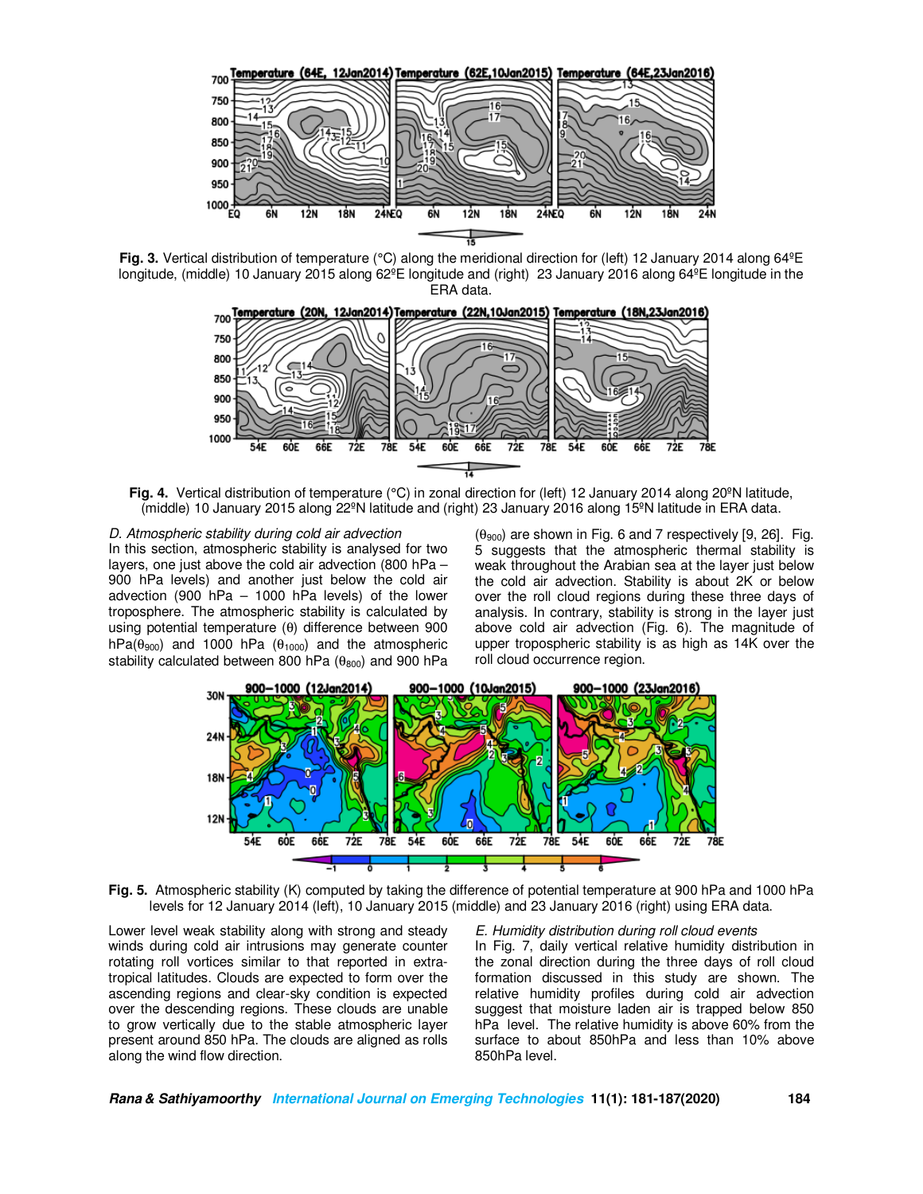

**Fig. 3.** Vertical distribution of temperature (°C) along the meridional direction for (left) 12 January 2014 along 64ºE longitude, (middle) 10 January 2015 along 62<sup>°</sup>E longitude and (right) 23 January 2016 along 64<sup>°</sup>E longitude in the ERA data.



Fig. 4. Vertical distribution of temperature (°C) in zonal direction for (left) 12 January 2014 along 20<sup>o</sup>N latitude, (middle) 10 January 2015 along 22ºN latitude and (right) 23 January 2016 along 15ºN latitude in ERA data.

## *D. Atmospheric stability during cold air advection*  In this section, atmospheric stability is analysed for two layers, one just above the cold air advection (800 hPa – 900 hPa levels) and another just below the cold air advection (900 hPa – 1000 hPa levels) of the lower troposphere. The atmospheric stability is calculated by using potential temperature (θ) difference between 900 hPa( $\theta_{900}$ ) and 1000 hPa ( $\theta_{1000}$ ) and the atmospheric stability calculated between 800 hPa  $(\theta_{800})$  and 900 hPa

 $(\theta_{900})$  are shown in Fig. 6 and 7 respectively [9, 26]. Fig. 5 suggests that the atmospheric thermal stability is weak throughout the Arabian sea at the layer just below the cold air advection. Stability is about 2K or below over the roll cloud regions during these three days of analysis. In contrary, stability is strong in the layer just above cold air advection (Fig. 6). The magnitude of upper tropospheric stability is as high as 14K over the roll cloud occurrence region.



**Fig. 5.** Atmospheric stability (K) computed by taking the difference of potential temperature at 900 hPa and 1000 hPa levels for 12 January 2014 (left), 10 January 2015 (middle) and 23 January 2016 (right) using ERA data.

Lower level weak stability along with strong and steady winds during cold air intrusions may generate counter rotating roll vortices similar to that reported in extratropical latitudes. Clouds are expected to form over the ascending regions and clear-sky condition is expected over the descending regions. These clouds are unable to grow vertically due to the stable atmospheric layer present around 850 hPa. The clouds are aligned as rolls along the wind flow direction.

*E. Humidity distribution during roll cloud events* 

In Fig. 7, daily vertical relative humidity distribution in the zonal direction during the three days of roll cloud formation discussed in this study are shown. The relative humidity profiles during cold air advection suggest that moisture laden air is trapped below 850 hPa level. The relative humidity is above 60% from the surface to about 850hPa and less than 10% above 850hPa level.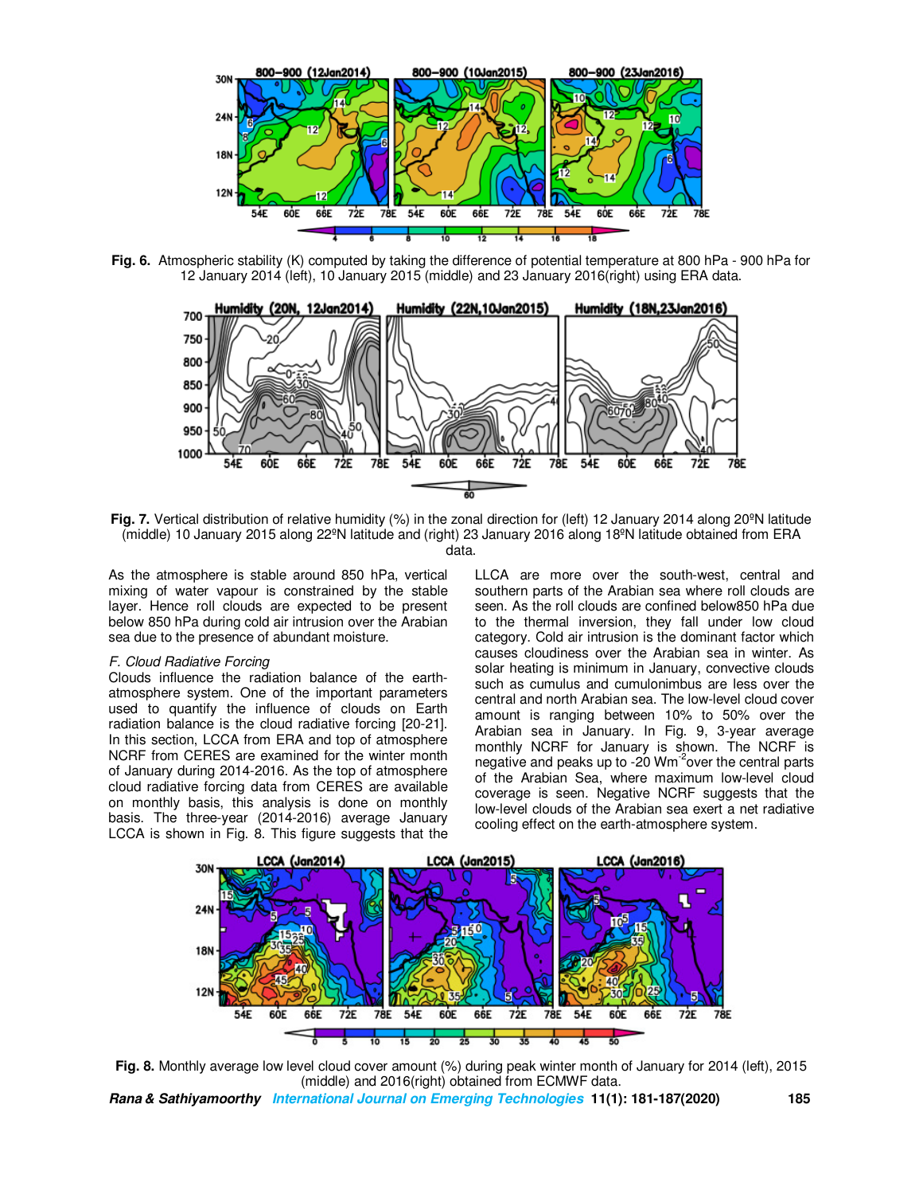

**Fig. 6.** Atmospheric stability (K) computed by taking the difference of potential temperature at 800 hPa - 900 hPa for 12 January 2014 (left), 10 January 2015 (middle) and 23 January 2016(right) using ERA data.



Fig. 7. Vertical distribution of relative humidity (%) in the zonal direction for (left) 12 January 2014 along 20<sup>o</sup>N latitude (middle) 10 January 2015 along 22ºN latitude and (right) 23 January 2016 along 18ºN latitude obtained from ERA data.

As the atmosphere is stable around 850 hPa, vertical mixing of water vapour is constrained by the stable layer. Hence roll clouds are expected to be present below 850 hPa during cold air intrusion over the Arabian sea due to the presence of abundant moisture.

#### *F. Cloud Radiative Forcing*

Clouds influence the radiation balance of the earthatmosphere system. One of the important parameters used to quantify the influence of clouds on Earth radiation balance is the cloud radiative forcing [20-21]. In this section, LCCA from ERA and top of atmosphere NCRF from CERES are examined for the winter month of January during 2014-2016. As the top of atmosphere cloud radiative forcing data from CERES are available on monthly basis, this analysis is done on monthly basis. The three-year (2014-2016) average January LCCA is shown in Fig. 8. This figure suggests that the

LLCA are more over the south-west, central and southern parts of the Arabian sea where roll clouds are seen. As the roll clouds are confined below850 hPa due to the thermal inversion, they fall under low cloud category. Cold air intrusion is the dominant factor which causes cloudiness over the Arabian sea in winter. As solar heating is minimum in January, convective clouds such as cumulus and cumulonimbus are less over the central and north Arabian sea. The low-level cloud cover amount is ranging between 10% to 50% over the Arabian sea in January. In Fig. 9, 3-year average monthly NCRF for January is shown. The NCRF is negative and peaks up to -20 Wm<sup>-2</sup>over the central parts of the Arabian Sea, where maximum low-level cloud coverage is seen. Negative NCRF suggests that the low-level clouds of the Arabian sea exert a net radiative cooling effect on the earth-atmosphere system.



**Fig. 8.** Monthly average low level cloud cover amount (%) during peak winter month of January for 2014 (left), 2015 (middle) and 2016(right) obtained from ECMWF data.

**Rana & Sathiyamoorthy International Journal on Emerging Technologies 11(1): 181-187(2020) 185**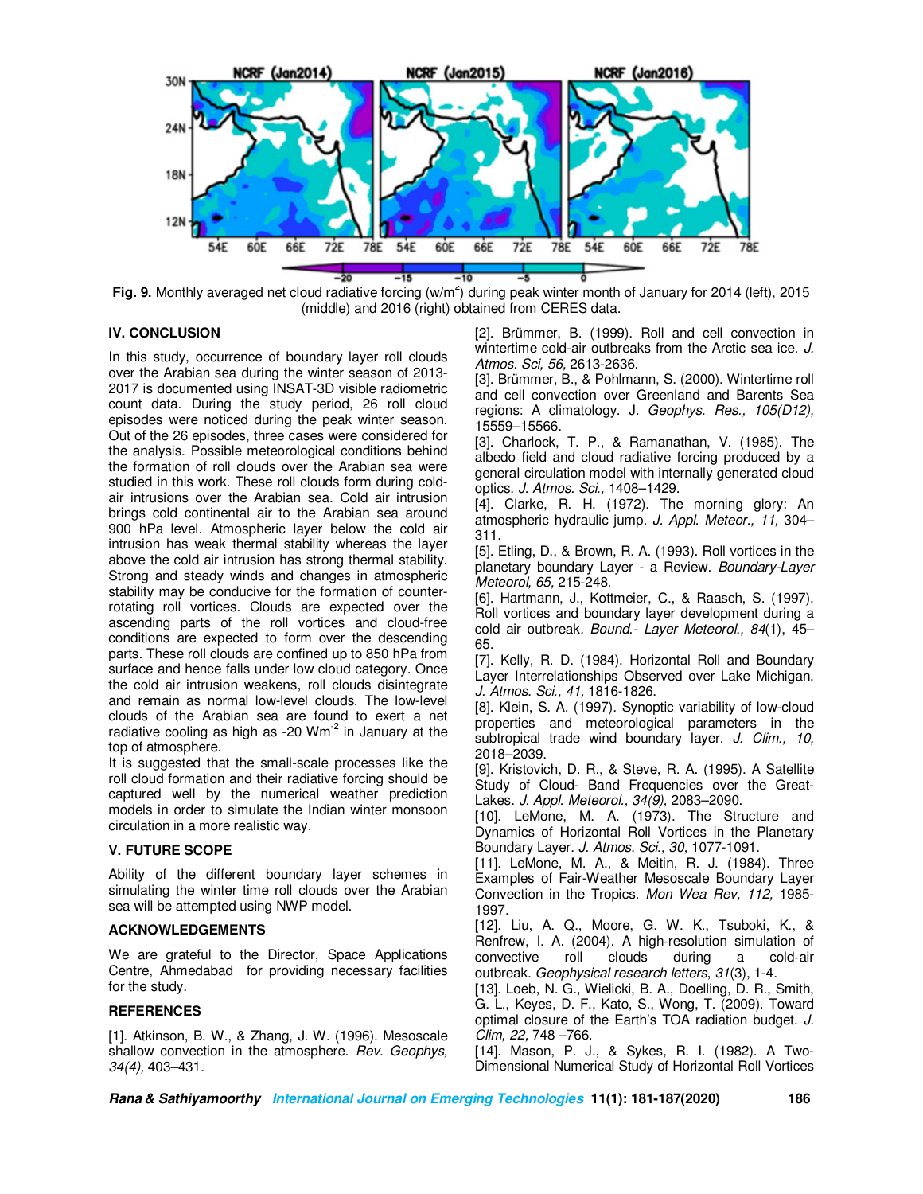

Fig. 9. Monthly averaged net cloud radiative forcing (w/m<sup>2</sup>) during peak winter month of January for 2014 (left), 2015 (middle) and 2016 (right) obtained from CERES data.

## **IV. CONCLUSION**

In this study, occurrence of boundary layer roll clouds over the Arabian sea during the winter season of 2013- 2017 is documented using INSAT-3D visible radiometric count data. During the study period, 26 roll cloud episodes were noticed during the peak winter season. Out of the 26 episodes, three cases were considered for the analysis. Possible meteorological conditions behind the formation of roll clouds over the Arabian sea were studied in this work. These roll clouds form during coldair intrusions over the Arabian sea. Cold air intrusion brings cold continental air to the Arabian sea around 900 hPa level. Atmospheric layer below the cold air intrusion has weak thermal stability whereas the layer above the cold air intrusion has strong thermal stability. Strong and steady winds and changes in atmospheric stability may be conducive for the formation of counterrotating roll vortices. Clouds are expected over the ascending parts of the roll vortices and cloud-free conditions are expected to form over the descending parts. These roll clouds are confined up to 850 hPa from surface and hence falls under low cloud category. Once the cold air intrusion weakens, roll clouds disintegrate and remain as normal low-level clouds. The low-level clouds of the Arabian sea are found to exert a net radiative cooling as high as -20  $Wm^{-2}$  in January at the top of atmosphere.

It is suggested that the small-scale processes like the roll cloud formation and their radiative forcing should be captured well by the numerical weather prediction models in order to simulate the Indian winter monsoon circulation in a more realistic way.

#### **V. FUTURE SCOPE**

Ability of the different boundary layer schemes in simulating the winter time roll clouds over the Arabian sea will be attempted using NWP model.

### **ACKNOWLEDGEMENTS**

We are grateful to the Director, Space Applications Centre, Ahmedabad for providing necessary facilities for the study.

## **REFERENCES**

[1]. Atkinson, B. W., & Zhang, J. W. (1996). Mesoscale shallow convection in the atmosphere. *Rev. Geophys, 34(4),* 403–431.

[2]. Brümmer, B. (1999). Roll and cell convection in wintertime cold-air outbreaks from the Arctic sea ice. *J. Atmos. Sci, 56,* 2613-2636.

[3]. Brümmer, B., & Pohlmann, S. (2000). Wintertime roll and cell convection over Greenland and Barents Sea regions: A climatology. J*. Geophys. Res., 105(D12),*  15559–15566.

[3]. Charlock, T. P., & Ramanathan, V. (1985). The albedo field and cloud radiative forcing produced by a general circulation model with internally generated cloud optics. *J. Atmos. Sci.,* 1408–1429.

[4]. Clarke, R. H. (1972). The morning glory: An atmospheric hydraulic jump. *J. Appl. Meteor., 11,* 304– 311.

[5]. Etling, D., & Brown, R. A. (1993). Roll vortices in the planetary boundary Layer - a Review. *Boundary-Layer Meteorol, 65,* 215-248.

[6]. Hartmann, J., Kottmeier, C., & Raasch, S. (1997). Roll vortices and boundary layer development during a cold air outbreak*. Bound.- Layer Meteorol., 84*(1), 45– 65.

[7]. Kelly, R. D. (1984). Horizontal Roll and Boundary Layer Interrelationships Observed over Lake Michigan. *J. Atmos. Sci., 41,* 1816-1826.

[8]. Klein, S. A. (1997). Synoptic variability of low-cloud properties and meteorological parameters in the subtropical trade wind boundary layer. *J. Clim., 10,* 2018–2039.

[9]. Kristovich, D. R., & Steve, R. A. (1995). A Satellite Study of Cloud- Band Frequencies over the Great-Lakes. *J. Appl. Meteorol., 34(9),* 2083–2090.

[10]. LeMone, M. A. (1973). The Structure and Dynamics of Horizontal Roll Vortices in the Planetary Boundary Layer. *J. Atmos. Sci., 30,* 1077-1091.

[11]. LeMone, M. A., & Meitin, R. J. (1984). Three Examples of Fair-Weather Mesoscale Boundary Layer Convection in the Tropics. *Mon Wea Rev, 112,* 1985- 1997.

[12]. Liu, A. Q., Moore, G. W. K., Tsuboki, K., & Renfrew, I. A. (2004). A high‐resolution simulation of convective roll clouds during a cold‐air outbreak. *Geophysical research letters*, *31*(3), 1-4.

[13]. Loeb, N. G., Wielicki, B. A., Doelling, D. R., Smith, G. L., Keyes, D. F., Kato, S., Wong, T. (2009). Toward optimal closure of the Earth's TOA radiation budget. *J. Clim, 22,* 748 –766.

[14]. Mason, P. J., & Sykes, R. I. (1982). A Two-Dimensional Numerical Study of Horizontal Roll Vortices